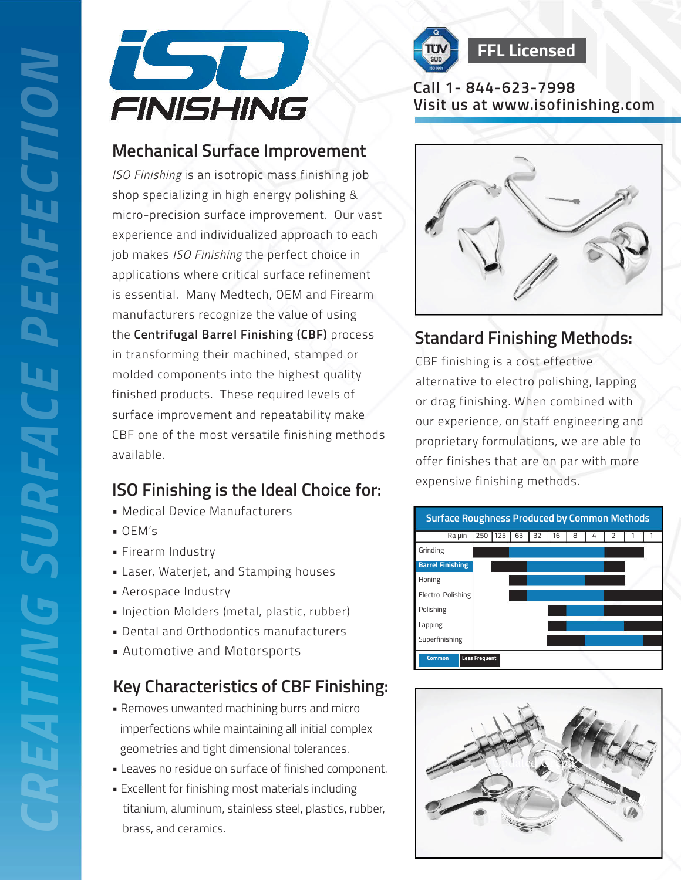



# **Call 1- 844-623-7998**

#### **Mechanical Surface Improvement**

*ISO Finishing* is an isotropic mass finishing job shop specializing in high energy polishing & micro-precision surface improvement. Our vast experience and individualized approach to each job makes *ISO Finishing* the perfect choice in applications where critical surface refinement is essential. Many Medtech, OEM and Firearm manufacturers recognize the value of using the **Centrifugal Barrel Finishing (CBF)** process in transforming their machined, stamped or molded components into the highest quality finished products. These required levels of surface improvement and repeatability make CBF one of the most versatile finishing methods available. **Visit us at the control of the servest of the servest of the server at the server at the server at the server at the server at the server at the server at the server at the server at the server at the server at the server** 

## **ISO Finishing is the Ideal Choice for:**

- Medical Device Manufacturers
- OEM's
- Firearm Industry
- Laser, Waterjet, and Stamping houses
- Aerospace Industry
- Injection Molders (metal, plastic, rubber)
- Dental and Orthodontics manufacturers
- Automotive and Motorsports

## **Key Characteristics of CBF Finishing:**

- Removes unwanted machining burrs and micro imperfections while maintaining all initial complex geometries and tight dimensional tolerances.
- Leaves no residue on surface of finished component.
- Excellent for finishing most materials including titanium, aluminum, stainless steel, plastics, rubber, brass, and ceramics.



# **Standard Finishing Methods:**

CBF finishing is a cost effective alternative to electro polishing, lapping or drag finishing. When combined with our experience, on staff engineering and proprietary formulations, we are able to offer finishes that are on par with more expensive finishing methods.